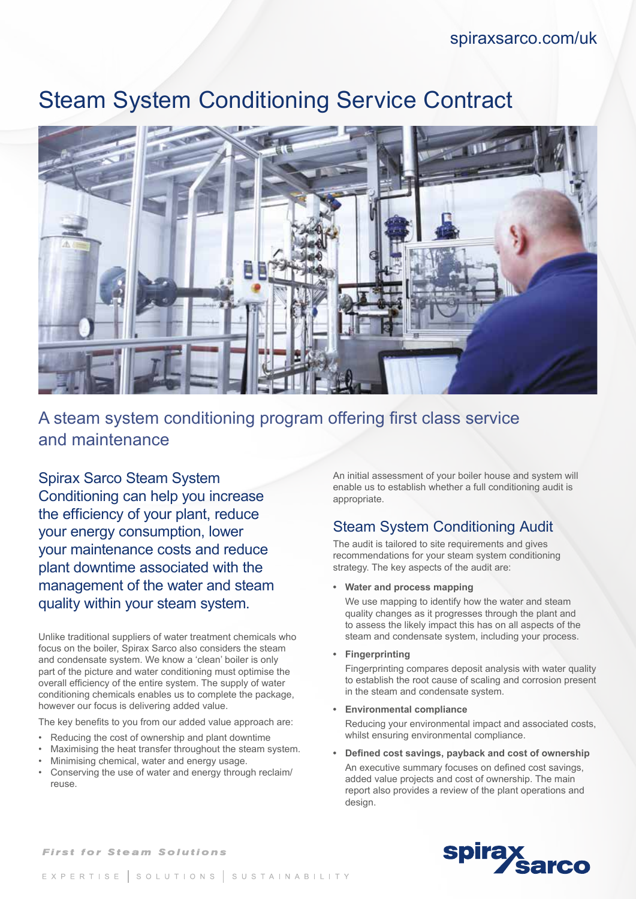# Steam System Conditioning Service Contract



### A steam system conditioning program offering first class service and maintenance

Spirax Sarco Steam System Conditioning can help you increase the efficiency of your plant, reduce your energy consumption, lower your maintenance costs and reduce plant downtime associated with the management of the water and steam quality within your steam system.

Unlike traditional suppliers of water treatment chemicals who focus on the boiler, Spirax Sarco also considers the steam and condensate system. We know a 'clean' boiler is only part of the picture and water conditioning must optimise the overall efficiency of the entire system. The supply of water conditioning chemicals enables us to complete the package, however our focus is delivering added value.

The key benefits to you from our added value approach are:

- Reducing the cost of ownership and plant downtime
- Maximising the heat transfer throughout the steam system.
- Minimising chemical, water and energy usage.
- Conserving the use of water and energy through reclaim/ reuse.

An initial assessment of your boiler house and system will enable us to establish whether a full conditioning audit is appropriate.

#### Steam System Conditioning Audit

The audit is tailored to site requirements and gives recommendations for your steam system conditioning strategy. The key aspects of the audit are:

**• Water and process mapping**

We use mapping to identify how the water and steam quality changes as it progresses through the plant and to assess the likely impact this has on all aspects of the steam and condensate system, including your process.

**• Fingerprinting**

Fingerprinting compares deposit analysis with water quality to establish the root cause of scaling and corrosion present in the steam and condensate system.

**• Environmental compliance** 

Reducing your environmental impact and associated costs, whilst ensuring environmental compliance.

**• Defined cost savings, payback and cost of ownership** An executive summary focuses on defined cost savings, added value projects and cost of ownership. The main report also provides a review of the plant operations and design.